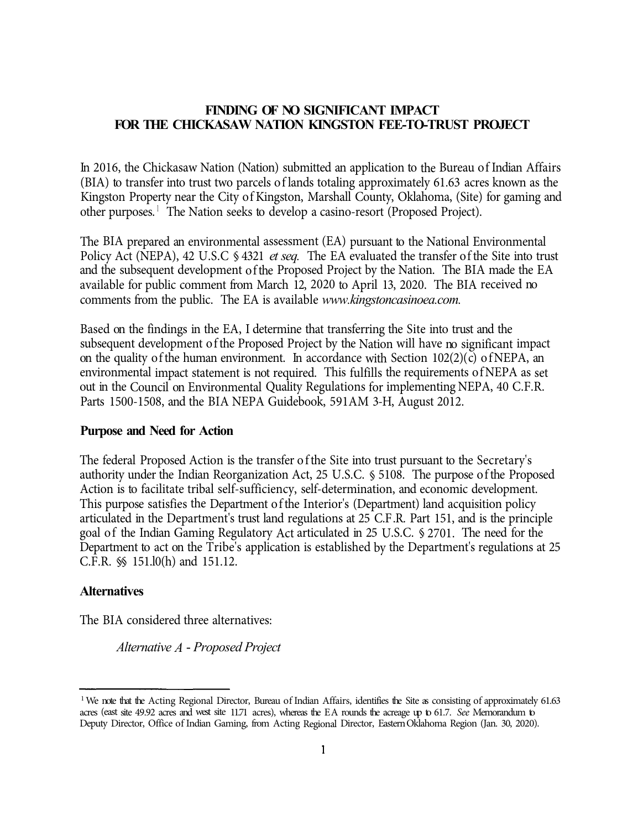## **FINDING OF NO SIGNIFICANT IMPACT FOR THE CHICKASAW NATION KINGSTON FEE-TO-TRUST PROJECT**

In 2016, the Chickasaw Nation (Nation) submitted an application to the Bureau of Indian Affairs (BIA) to transfer into trust two parcels of lands totaling approximately 61.63 acres known as the Kingston Property near the City of Kingston, Marshall County, Oklahoma, (Site) for gaming and other purposes.<sup>1</sup> The Nation seeks to develop a casino-resort (Proposed Project).

The BIA prepared an environmental assessment (EA) pursuant to the National Environmental Policy Act (NEPA), 42 U.S.C § 4321 *et seq.* The EA evaluated the transfer of the Site into trust and the subsequent development of the Proposed Project by the Nation. The BIA made the EA available for public comment from March 12, 2020 to April 13, 2020. The BIA received no comments from the public. The EA is available *www.kingstoncasinoea.com.* 

Based on the findings in the EA, I determine that transferring the Site into trust and the subsequent development of the Proposed Project by the Nation will have no significant impact on the quality of the human environment. In accordance with Section  $102(2)(c)$  of NEPA, an environmental impact statement is not required. This fulfills the requirements of NEPA as set out in the Council on Environmental Quality Regulations for implementing NEPA, 40 C.F.R. Parts 1500-1508, and the BIA NEPA Guidebook, 591AM 3-H, August 2012.

## **Purpose and Need for Action**

The federal Proposed Action is the transfer of the Site into trust pursuant to the Secretary's authority under the Indian Reorganization Act, 25 U.S.C. § 5108. The purpose of the Proposed Action is to facilitate tribal self-sufficiency, self-determination, and economic development. This purpose satisfies the Department of the Interior's (Department) land acquisition policy articulated in the Department's trust land regulations at 25 C.F .R. Part 151, and is the principle goal of the Indian Gaming Regulatory Act articulated in 25 U .S.C. § 2701. The need for the Department to act on the Tribe's application is established by the Department's regulations at 25 C.F.R. §§ 151.l0(h) and 151.12.

## **Alternatives**

The BIA considered three alternatives:

*Alternative A* - *Proposed Project* 

<sup>&</sup>lt;sup>1</sup> We note that the Acting Regional Director, Bureau of Indian Affairs, identifies the Site as consisting of approximately 61.63 acres (east site 49.92 acres and west site 11.71 acres), whereas the EA rounds the acreage up to 61.7. *See* Memorandum to Deputy Director, Office of Indian Gaming, from Acting Regional Director, Eastern Oklahoma Region (Jan. 30, 2020).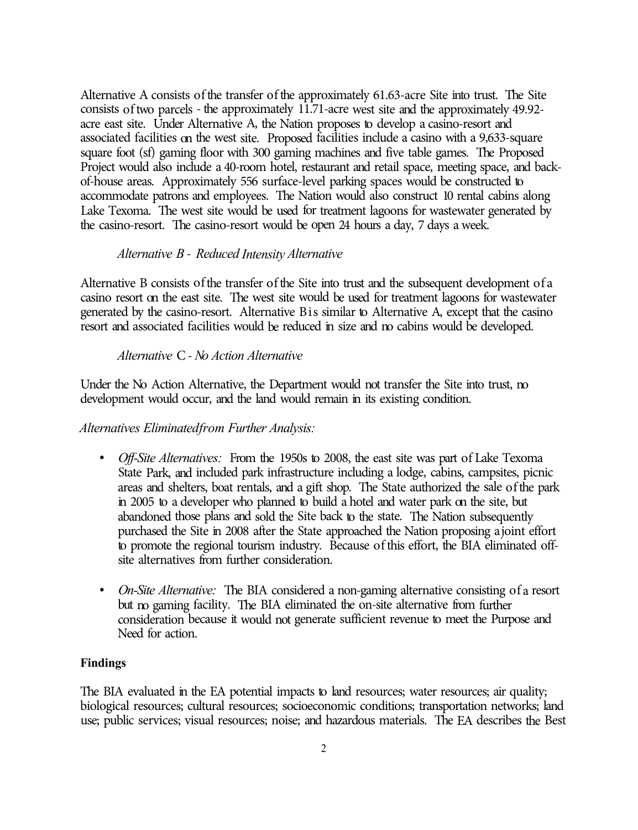Alternative A consists of the transfer of the approximately 61.63-acre Site into trust. The Site consists of two parcels - the approximately 11.71-acre west site and the approximately 49.92acre east site. Under Alternative A, the Nation proposes to develop a casino-resort and associated facilities on the west site. Proposed facilities include a casino with a 9,633-square square foot (sf) gaming floor with 300 gaming machines and five table games. The Proposed Project would also include a 40-room hotel, restaurant and retail space, meeting space, and backof-house areas. Approximately 556 surface-level parking spaces would be constructed to accommodate patrons and employees. The Nation would also construct 10 rental cabins along Lake Texoma. The west site would be used for treatment lagoons for wastewater generated by the casino-resort. The casino-resort would be open 24 hours a day, 7 days a week.

### *Alternative B* - *Reduced Intensity Alternative*

Alternative B consists of the transfer of the Site into trust and the subsequent development of a casino resort on the east site. The west site would be used for treatment lagoons for wastewater generated by the casino-resort. Alternative Bis similar to Alternative A, except that the casino resort and associated facilities would be reduced in size and no cabins would be developed.

#### *Alternative* C - *No Action Alternative*

Under the No Action Alternative, the Department would not transfer the Site into trust, no development would occur, and the land would remain in its existing condition.

*Alternatives Eliminated from Further Analysis:* 

- *Off-Site Alternatives:* From the 1950s to 2008, the east site was part of Lake Texoma State Park, and included park infrastructure including a lodge, cabins, campsites, picnic areas and shelters, boat rentals, and a gift shop. The State authorized the sale of the park in 2005 to a developer who planned to build a hotel and water park on the site, but abandoned those plans and sold the Site back to the state. The Nation subsequently purchased the Site in 2008 after the State approached the Nation proposing a joint effort to promote the regional tourism industry. Because of this effort, the BIA eliminated offsite alternatives from further consideration.
- *On-Site Alternative:* The BIA considered a non-gaming alternative consisting of a resort but no gaming facility. The BIA eliminated the on-site alternative from further consideration because it would not generate sufficient revenue to meet the Purpose and Need for action.

#### **Findings**

The BIA evaluated in the EA potential impacts to land resources; water resources; air quality; biological resources; cultural resources; socioeconomic conditions; transportation networks; land use; public services; visual resources; noise; and hazardous materials. The EA describes the Best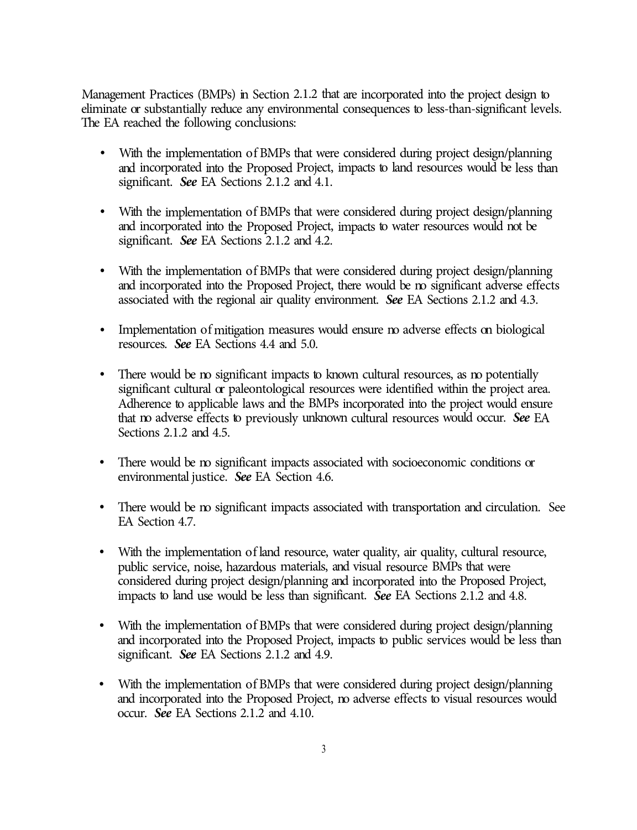Management Practices (BMPs) in Section 2.1.2 that are incorporated into the project design to eliminate or substantially reduce any environmental consequences to less-than-significant levels. The EA reached the following conclusions:

- With the implementation of BMPs that were considered during project design/planning and incorporated into the Proposed Project, impacts to land resources would be less than significant. *See* EA Sections 2.1.2 and 4.1.
- With the implementation of BMPs that were considered during project design/planning and incorporated into the Proposed Project, impacts to water resources would not be significant. *See* EA Sections 2.1.2 and 4.2.
- With the implementation of BMPs that were considered during project design/planning and incorporated into the Proposed Project, there would be no significant adverse effects associated with the regional air quality environment. *See* EA Sections 2.1.2 and 4.3.
- Implementation of mitigation measures would ensure m adverse effects on biological resources. *See* EA Sections 4.4 and 5.0.
- There would be no significant impacts to known cultural resources, as no potentially significant cultural or paleontological resources were identified within the project area. Adherence to applicable laws and the BMPs incorporated into the project would ensure that no adverse effects to previously unknown cultural resources would occur. *See* EA Sections 2.1.2 and 4.5.
- There would be no significant impacts associated with socioeconomic conditions or environmental justice. *See* EA Section 4.6.
- There would be no significant impacts associated with transportation and circulation. See EA Section 4.7.
- With the implementation of land resource, water quality, air quality, cultural resource, public service, noise, hazardous materials, and visual resource BMPs that were considered during project design/planning and incorporated into the Proposed Project, impacts to land use would be less than significant. *See* EA Sections 2.1.2 and 4.8.
- With the implementation of BMPs that were considered during project design/planning and incorporated into the Proposed Project, impacts to public services would be less than significant. *See* EA Sections 2.1.2 and 4.9.
- With the implementation of BMPs that were considered during project design/planning and incorporated into the Proposed Project, no adverse effects to visual resources would occur. *See* EA Sections 2.1.2 and 4.10.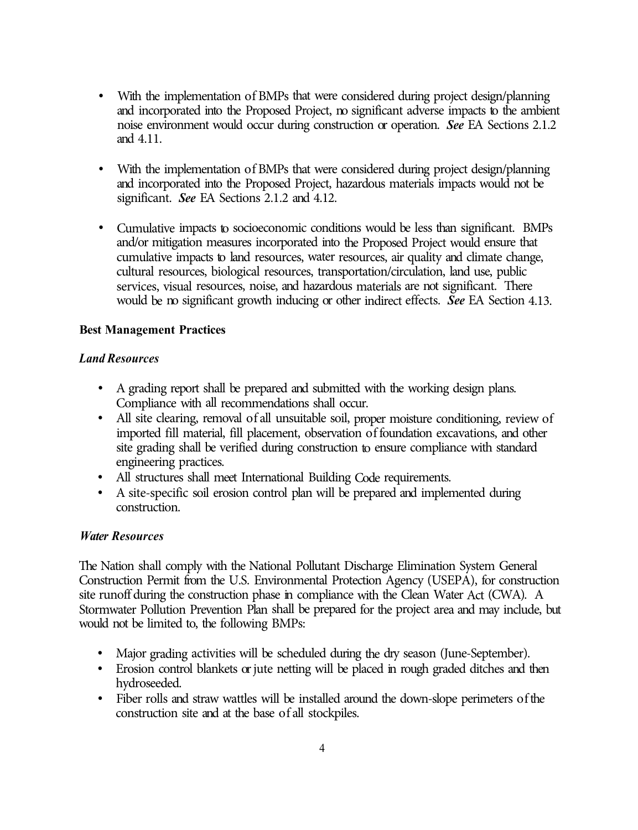- With the implementation of BMPs that were considered during project design/planning and incorporated into the Proposed Project, no significant adverse impacts to the ambient noise environment would occur during construction or operation. *See* EA Sections 2.1.2 and 4.11.
- With the implementation of BMPs that were considered during project design/planning and incorporated into the Proposed Project, hazardous materials impacts would not be significant. *See* EA Sections 2.1.2 and 4.12.
- Cumulative impacts to socioeconomic conditions would be less than significant. BMPs and/or mitigation measures incorporated into the Proposed Project would ensure that cumulative impacts to land resources, water resources, air quality and climate change, cultural resources, biological resources, transportation/circulation, land use, public services, visual resources, noise, and hazardous materials are not significant. There would be no significant growth inducing or other indirect effects. *See* EA Section 4.13.

# **Best Management Practices**

# *Land Resources*

- A grading report shall be prepared and submitted with the working design plans.
- All site clearing, removal of all unsuitable soil, proper moisture conditioning, review of imported fill material, fill placement, observation of foundation excavations, and other site grading shall be verified during construction to ensure compliance with standard engineering practices.
- 
- All structures shall meet International Building Code requirements. A site-specific soil erosion control plan will be prepared and implemented during construction.

## *Water Resources*

The Nation shall comply with the National Pollutant Discharge Elimination System General Construction Permit from the U.S. Environmental Protection Agency (USEPA), for construction site runoff during the construction phase in compliance with the Clean Water Act (CWA). A Stormwater Pollution Prevention Plan shall be prepared for the project area and may include, but would not be limited to, the following BMPs:

- 
- Major grading activities will be scheduled during the dry season (June-September). Erosion control blankets or jute netting will be placed in rough graded ditches and then hydroseeded.
- Fiber rolls and straw wattles will be installed around the down-slope perimeters of the construction site and at the base of all stockpiles.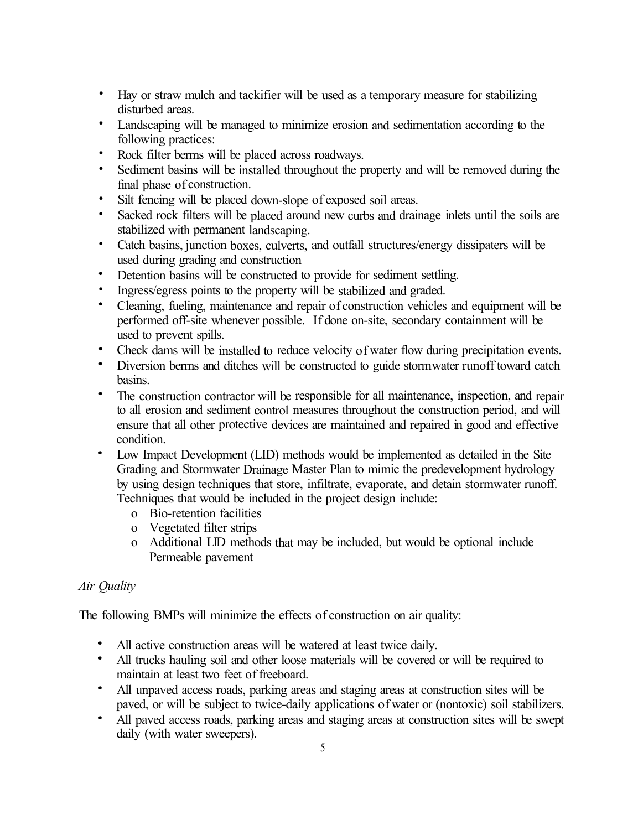- Hay or straw mulch and tackifier will be used as a temporary measure for stabilizing disturbed areas.
- Landscaping will be managed to minimize erosion and sedimentation according to the following practices:
- Rock filter berms will be placed across roadways.
- Sediment basins will be installed throughout the property and will be removed during the final phase of construction.
- Silt fencing will be placed down-slope of exposed soil areas.<br>• Sacked rock filters will be placed around new curbs and drain
- Sacked rock filters will be placed around new curbs and drainage inlets until the soils are stabilized with permanent landscaping.
- Catch basins, junction boxes, culverts, and outfall structures/energy dissipaters will be used during grading and construction
- Detention basins will be constructed to provide for sediment settling.
- Ingress/egress points to the property will be stabilized and graded.
- Cleaning, fueling, maintenance and repair of construction vehicles and equipment will be performed off-site whenever possible. If done on-site, secondary containment will be used to prevent spills.
- Check dams will be installed to reduce velocity of water flow during precipitation events.
- Diversion berms and ditches will be constructed to guide storm water runoff toward catch basins.
- The construction contractor will be responsible for all maintenance, inspection, and repair to all erosion and sediment control measures throughout the construction period, and will ensure that all other protective devices are maintained and repaired in good and effective condition.
- Low Impact Development (LID) methods would be implemented as detailed in the Site Grading and Stormwater Drainage Master Plan to mimic the predevelopment hydrology by using design techniques that store, infiltrate, evaporate, and detain stormwater runoff. Techniques that would be included in the project design include:
	- o Bio-retention facilities
	- o Vegetated filter strips
	- o Additional LID methods that may be included, but would be optional include Permeable pavement

# *Air Quality*

The following BMPs will minimize the effects of construction on air quality:

- All active construction areas will be watered at least twice daily.
- All trucks hauling soil and other loose materials will be covered or will be required to maintain at least two feet of freeboard.
- All unpaved access roads, parking areas and staging areas at construction sites will be paved, or will be subject to twice-daily applications of water or (nontoxic) soil stabilizers.
- All paved access roads, parking areas and staging areas at construction sites will be swept daily (with water sweepers).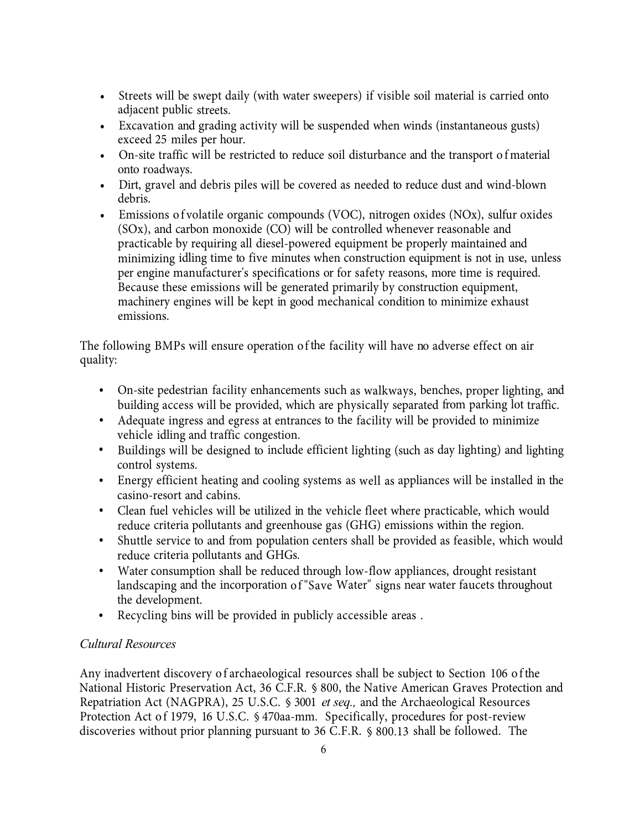- Streets will be swept daily (with water sweepers) if visible soil material is carried onto adjacent public streets.
- Excavation and grading activity will be suspended when winds (instantaneous gusts) exceed 25 miles per hour.
- On-site traffic will be restricted to reduce soil disturbance and the transport of material onto roadways.
- Dirt, gravel and debris piles will be covered as needed to reduce dust and wind-blown debris.
- Emissions of volatile organic compounds (VOC), nitrogen oxides (NOx), sulfur oxides (SOx), and carbon monoxide (CO) will be controlled whenever reasonable and practicable by requiring all diesel-powered equipment be properly maintained and minimizing idling time to five minutes when construction equipment is not in use, unless per engine manufacturer's specifications or for safety reasons, more time is required. Because these emissions will be generated primarily by construction equipment, machinery engines will be kept in good mechanical condition to minimize exhaust emissions.

The following BMPs will ensure operation of the facility will have no adverse effect on air quality:

- On-site pedestrian facility enhancements such as walkways, benches, proper lighting, and building access will be provided, which are physically separated from parking lot traffic.
- Adequate ingress and egress at entrances to the facility will be provided to minimize vehicle idling and traffic congestion.
- Buildings will be designed to include efficient lighting (such as day lighting) and lighting control systems.
- Energy efficient heating and cooling systems as well as appliances will be installed in the casino-resort and cabins.
- Clean fuel vehicles will be utilized in the vehicle fleet where practicable, which would reduce criteria pollutants and greenhouse gas (GHG) emissions within the region.
- Shuttle service to and from population centers shall be provided as feasible, which would reduce criteria pollutants and GHGs.
- Water consumption shall be reduced through low-flow appliances, drought resistant landscaping and the incorporation of "Save Water" signs near water faucets throughout the development.
- Recycling bins will be provided in publicly accessible areas .

# *Cultural Resources*

Any inadvertent discovery of archaeological resources shall be subject to Section 106 of the National Historic Preservation Act, 36 C.F.R. § 800, the Native American Graves Protection and Repatriation Act (NAGPRA), 25 U.S.C. § 3001 *et seq.,* and the Archaeological Resources Protection Act of 1979, 16 U.S.C. § 470aa-mm. Specifically, procedures for post-review discoveries without prior planning pursuant to 36 C.F.R. § 800.13 shall be followed. The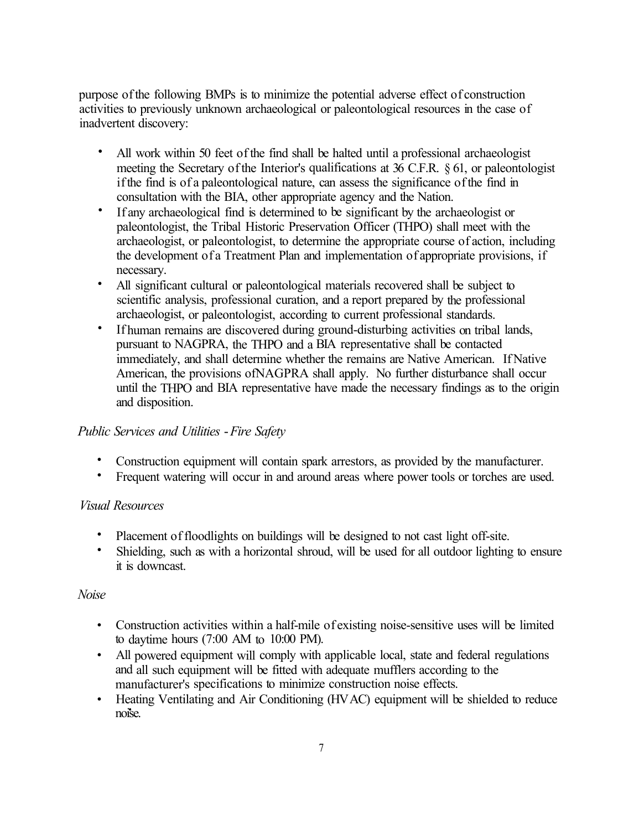purpose of the following BMPs is to minimize the potential adverse effect of construction activities to previously unknown archaeological or paleontological resources in the case of inadvertent discovery:

- All work within 50 feet of the find shall be halted until a professional archaeologist meeting the Secretary of the Interior's qualifications at 36 C.F.R. § 61, or paleontologist if the find is of a paleontological nature, can assess the significance of the find in consultation with the BIA, other appropriate agency and the Nation.
- If any archaeological find is determined to be significant by the archaeologist or paleontologist, the Tribal Historic Preservation Officer (THPO) shall meet with the archaeologist, or paleontologist, to determine the appropriate course of action, including the development of a Treatment Plan and implementation of appropriate provisions, if necessary.
- All significant cultural or paleontological materials recovered shall be subject to scientific analysis, professional curation, and a report prepared by the professional archaeologist, or paleontologist, according to current professional standards.
- If human remains are discovered during ground-disturbing activities on tribal lands, pursuant to NAGPRA, the THPO and a BIA representative shall be contacted immediately, and shall determine whether the remains are Native American. If Native American, the provisions ofNAGPRA shall apply. No further disturbance shall occur until the THPO and BIA representative have made the necessary findings as to the origin and disposition.

# *Public Services and Utilities* -*Fire Safety*

- Construction equipment will contain spark arrestors, as provided by the manufacturer.
- Frequent watering will occur in and around areas where power tools or torches are used.

# *Visual Resources*

- Placement of floodlights on buildings will be designed to not cast light off-site.
- Shielding, such as with a horizontal shroud, will be used for all outdoor lighting to ensure it is downcast.

# *Noise*

- Construction activities within a half-mile of existing noise-sensitive uses will be limited to daytime hours (7:00 AM to 10:00 PM).
- All powered equipment will comply with applicable local, state and federal regulations and all such equipment will be fitted with adequate mufflers according to the manufacturer's specifications to minimize construction noise effects.
- Heating Ventilating and Air Conditioning (HVAC) equipment will be shielded to reduce noise.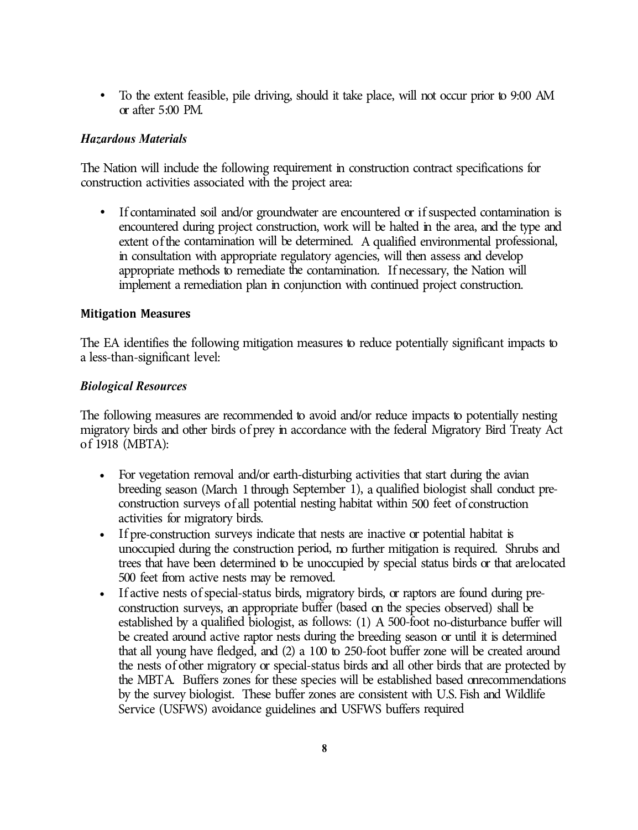• To the extent feasible, pile driving, should it take place, will not occur prior to 9:00 AM or after 5 :00 PM.

# *Hazardous Materials*

The Nation will include the following requirement in construction contract specifications for construction activities associated with the project area:

If contaminated soil and/or groundwater are encountered or if suspected contamination is encountered during project construction, work will be halted in the area, and the type and extent of the contamination will be determined. A qualified environmental professional, in consultation with appropriate regulatory agencies, will then assess and develop appropriate methods to remediate the contamination. If necessary, the Nation will implement a remediation plan in conjunction with continued project construction.

## **Mitigation Measures**

The EA identifies the following mitigation measures to reduce potentially significant impacts to a less-than-significant level:

## *Biological Resources*

The following measures are recommended to avoid and/or reduce impacts to potentially nesting migratory birds and other birds of prey in accordance with the federal Migratory Bird Treaty Act of 1918 (MBTA):

- For vegetation removal and/or earth-disturbing activities that start during the avian breeding season (March 1 through September 1), a qualified biologist shall conduct preconstruction surveys of all potential nesting habitat within 500 feet of construction activities for migratory birds.
- If pre-construction surveys indicate that nests are inactive or potential habitat is unoccupied during the construction period, no further mitigation is required. Shrubs and trees that have been determined to be unoccupied by special status birds or that arelocated 500 feet from active nests may be removed.
- If active nests of special-status birds, migratory birds, or raptors are found during preconstruction surveys, an appropriate buffer (based on the species observed) shall be established by a qualified biologist, as follows: (1) A 500-foot no-disturbance buffer will be created around active raptor nests during the breeding season or until it is determined that all young have fledged, and (2) a 100 to 250-foot buffer zone will be created around the nests of other migratory or special-status birds and all other birds that are protected by the MBT A. Buffers zones for these species will be established based onrecommendations by the survey biologist. These buffer zones are consistent with U.S. Fish and Wildlife Service (USFWS) avoidance guidelines and USFWS buffers required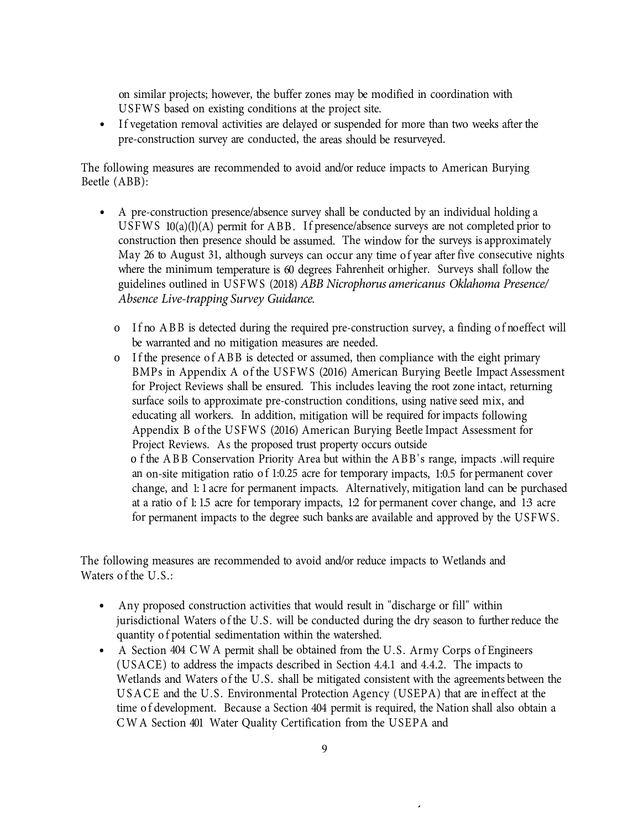on similar projects; however, the buffer zones may be modified in coordination with USFWS based on existing conditions at the project site.

• If vegetation removal activities are delayed or suspended for more than two weeks after the pre-construction survey are conducted, the areas should be resurveyed.

The following measures are recommended to avoid and/or reduce impacts to American Burying Beetle (ABB):

- A pre-construction presence/absence survey shall be conducted by an individual holding a USFWS  $10(a)(l)(A)$  permit for ABB. If presence/absence surveys are not completed prior to construction then presence should be assumed. The window for the surveys is approximately May 26 to August 31, although surveys can occur any time of year after five consecutive nights where the minimum temperature is 60 degrees Fahrenheit or higher. Surveys shall follow the guidelines outlined in USFWS (2018) *ABB Nicrophorus americanus Oklahoma Presence/ Absence Live-trapping Survey Guidance.*
	- o If no ABB is detected during the required pre-construction survey, a finding of no effect will be warranted and no mitigation measures are needed.
	- o If the presence of ABB is detected or assumed, then compliance with the eight primary BMPs in Appendix A of the USFWS (2016) American Burying Beetle Impact Assessment for Project Reviews shall be ensured. This includes leaving the root zone intact, returning surface soils to approximate pre-construction conditions, using native seed mix, and educating all workers. In addition, mitigation will be required for impacts following Appendix B of the USFWS (2016) American Burying Beetle Impact Assessment for Project Reviews. As the proposed trust property occurs outside o f the ABB Conservation Priority Area but within the ABB's range, impacts .will require an on-site mitigation ratio of 1:0.25 acre for temporary impacts, 1:0.5 for permanent cover change, and 1: 1 acre for permanent impacts. Alternatively, mitigation land can be purchased at a ratio of 1:15 acre for temporary impacts, 12 for permanent cover change, and 13 acre for permanent impacts to the degree such banks are available and approved by the USFWS.

The following measures are recommended to avoid and/or reduce impacts to Wetlands and Waters of the U.S.:

- Any proposed construction activities that would result in "discharge or fill" within jurisdictional Waters of the U.S. will be conducted during the dry season to further reduce the quantity of potential sedimentation within the watershed.
- A Section 404 CW A permit shall be obtained from the U.S. Army Corps of Engineers (USACE) to address the impacts described in Section 4.4.1 and 4.4.2. The impacts to Wetlands and Waters of the U.S. shall be mitigated consistent with the agreements between the USACE and the U.S. Environmental Protection Agency (USEPA) that are in effect at the time of development. Because a Section 404 permit is required, the Nation shall also obtain a CWA Section 401 Water Quality Certification from the USEPA and